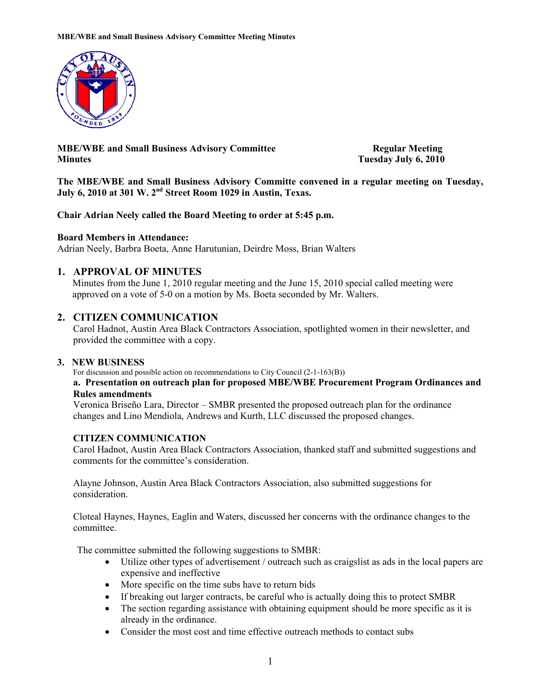

MBE/WBE and Small Business Advisory Committee Regular Meeting Minutes Tuesday July 6, 2010

The MBE/WBE and Small Business Advisory Committe convened in a regular meeting on Tuesday, July 6, 2010 at 301 W. 2nd Street Room 1029 in Austin, Texas.

Chair Adrian Neely called the Board Meeting to order at 5:45 p.m.

### Board Members in Attendance:

Adrian Neely, Barbra Boeta, Anne Harutunian, Deirdre Moss, Brian Walters

# 1. APPROVAL OF MINUTES

Minutes from the June 1, 2010 regular meeting and the June 15, 2010 special called meeting were approved on a vote of 5-0 on a motion by Ms. Boeta seconded by Mr. Walters.

# 2. CITIZEN COMMUNICATION

 Carol Hadnot, Austin Area Black Contractors Association, spotlighted women in their newsletter, and provided the committee with a copy.

# 3. NEW BUSINESS

For discussion and possible action on recommendations to City Council (2-1-163(B))

### a. Presentation on outreach plan for proposed MBE/WBE Procurement Program Ordinances and Rules amendments

Veronica Briseño Lara, Director – SMBR presented the proposed outreach plan for the ordinance changes and Lino Mendiola, Andrews and Kurth, LLC discussed the proposed changes.

### CITIZEN COMMUNICATION

Carol Hadnot, Austin Area Black Contractors Association, thanked staff and submitted suggestions and comments for the committee's consideration.

Alayne Johnson, Austin Area Black Contractors Association, also submitted suggestions for consideration.

Cloteal Haynes, Haynes, Eaglin and Waters, discussed her concerns with the ordinance changes to the committee.

The committee submitted the following suggestions to SMBR:

- Utilize other types of advertisement / outreach such as craigslist as ads in the local papers are expensive and ineffective
- More specific on the time subs have to return bids
- If breaking out larger contracts, be careful who is actually doing this to protect SMBR
- The section regarding assistance with obtaining equipment should be more specific as it is already in the ordinance.
- Consider the most cost and time effective outreach methods to contact subs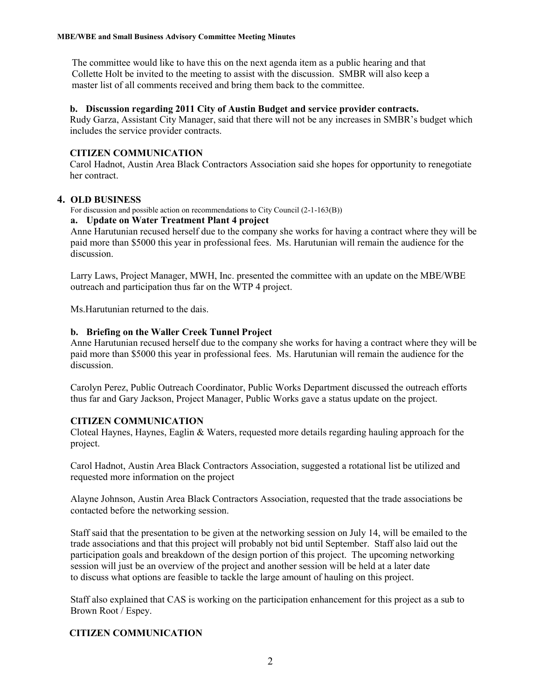The committee would like to have this on the next agenda item as a public hearing and that Collette Holt be invited to the meeting to assist with the discussion. SMBR will also keep a master list of all comments received and bring them back to the committee.

### b. Discussion regarding 2011 City of Austin Budget and service provider contracts.

Rudy Garza, Assistant City Manager, said that there will not be any increases in SMBR's budget which includes the service provider contracts.

# CITIZEN COMMUNICATION

Carol Hadnot, Austin Area Black Contractors Association said she hopes for opportunity to renegotiate her contract.

### 4. OLD BUSINESS

For discussion and possible action on recommendations to City Council (2-1-163(B))

### a. Update on Water Treatment Plant 4 project

Anne Harutunian recused herself due to the company she works for having a contract where they will be paid more than \$5000 this year in professional fees. Ms. Harutunian will remain the audience for the discussion.

Larry Laws, Project Manager, MWH, Inc. presented the committee with an update on the MBE/WBE outreach and participation thus far on the WTP 4 project.

Ms.Harutunian returned to the dais.

### b. Briefing on the Waller Creek Tunnel Project

Anne Harutunian recused herself due to the company she works for having a contract where they will be paid more than \$5000 this year in professional fees. Ms. Harutunian will remain the audience for the discussion.

Carolyn Perez, Public Outreach Coordinator, Public Works Department discussed the outreach efforts thus far and Gary Jackson, Project Manager, Public Works gave a status update on the project.

# CITIZEN COMMUNICATION

Cloteal Haynes, Haynes, Eaglin & Waters, requested more details regarding hauling approach for the project.

Carol Hadnot, Austin Area Black Contractors Association, suggested a rotational list be utilized and requested more information on the project

Alayne Johnson, Austin Area Black Contractors Association, requested that the trade associations be contacted before the networking session.

Staff said that the presentation to be given at the networking session on July 14, will be emailed to the trade associations and that this project will probably not bid until September. Staff also laid out the participation goals and breakdown of the design portion of this project. The upcoming networking session will just be an overview of the project and another session will be held at a later date to discuss what options are feasible to tackle the large amount of hauling on this project.

Staff also explained that CAS is working on the participation enhancement for this project as a sub to Brown Root / Espey.

# CITIZEN COMMUNICATION